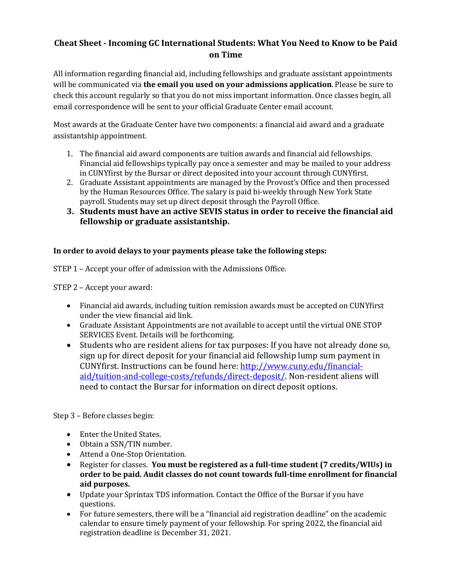## **Cheat Sheet - Incoming GC International Students: What You Need to Know to be Paid on Time**

All information regarding financial aid, including fellowships and graduate assistant appointments will be communicated via the email you used on your admissions application. Please be sure to check this account regularly so that you do not miss important information. Once classes begin, all email correspondence will be sent to your official Graduate Center email account.

Most awards at the Graduate Center have two components: a financial aid award and a graduate assistantship appointment.

- 1. The financial aid award components are tuition awards and financial aid fellowships. Financial aid fellowships typically pay once a semester and may be mailed to your address in CUNYfirst by the Bursar or direct deposited into your account through CUNYfirst.
- 2. Graduate Assistant appointments are managed by the Provost's Office and then processed by the Human Resources Office. The salary is paid bi-weekly through New York State payroll. Students may set up direct deposit through the Payroll Office.
- **3.** Students must have an active SEVIS status in order to receive the financial aid **fellowship or graduate assistantship.**

## In order to avoid delays to your payments please take the following steps:

STEP 1 - Accept your offer of admission with the Admissions Office.

STEP 2 - Accept your award:

- Financial aid awards, including tuition remission awards must be accepted on CUNYfirst under the view financial aid link.
- Graduate Assistant Appointments are not available to accept until the virtual ONE STOP SERVICES Event. Details will be forthcoming.
- Students who are resident aliens for tax purposes: If you have not already done so, sign up for direct deposit for your financial aid fellowship lump sum payment in CUNYfirst. Instructions can be found here: http://www.cuny.edu/financialaid/tuition-and-college-costs/refunds/direct-deposit/. Non-resident aliens will need to contact the Bursar for information on direct deposit options.

Step 3 - Before classes begin:

- Enter the United States.
- Obtain a SSN/TIN number.
- Attend a One-Stop Orientation.
- Register for classes. You must be registered as a full-time student (7 credits/WIUs) in order to be paid. Audit classes do not count towards full-time enrollment for financial **aid purposes.**
- Update your Sprintax TDS information. Contact the Office of the Bursar if you have questions.
- For future semesters, there will be a "financial aid registration deadline" on the academic calendar to ensure timely payment of your fellowship. For spring 2022, the financial aid registration deadline is December 31, 2021.